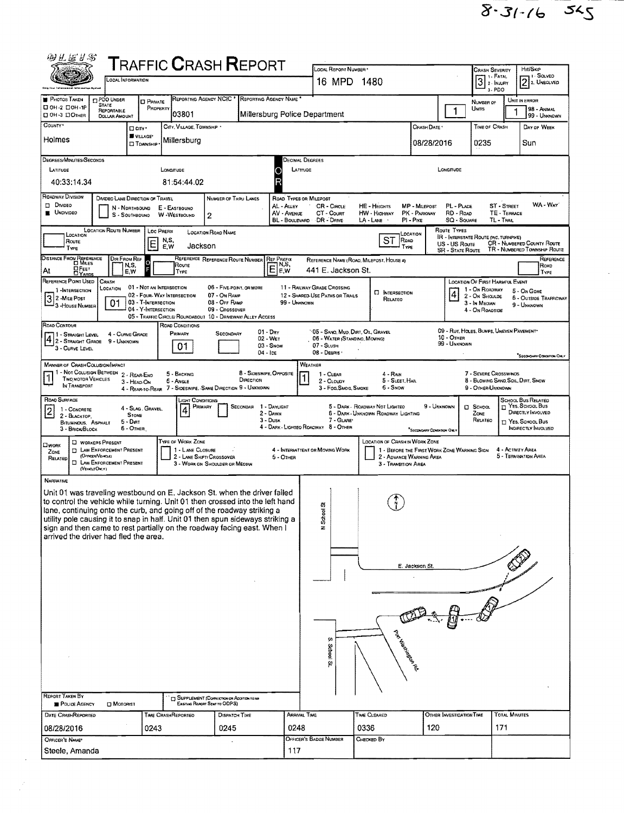$8.31 - 16.545$ 

| 砂孔运り名                                                                                                                                                     | TRAFFIC CRASH REPORT                                                                                                           |                                                                                    |                                                                                                                                                  |                                             |                                                                                                 |  |  |  |  |  |  |
|-----------------------------------------------------------------------------------------------------------------------------------------------------------|--------------------------------------------------------------------------------------------------------------------------------|------------------------------------------------------------------------------------|--------------------------------------------------------------------------------------------------------------------------------------------------|---------------------------------------------|-------------------------------------------------------------------------------------------------|--|--|--|--|--|--|
| OCAL INFORMATION                                                                                                                                          |                                                                                                                                | LOCAL REPORT NUMBER<br>16 MPD                                                      | 1480                                                                                                                                             |                                             | Hit/Sko<br><b>CRASH SEVERITY</b><br>1 SOLVED<br>1 - FATAL<br>3<br>$2$ 2. UNSOLVED<br>2 - INJURY |  |  |  |  |  |  |
|                                                                                                                                                           |                                                                                                                                |                                                                                    |                                                                                                                                                  |                                             | $3 - PDO$                                                                                       |  |  |  |  |  |  |
| <b>PHOTOS TAKEN</b><br>PDO UNDER<br><b>CI PRIVATE</b><br><b>STATE</b><br>□ 0H-2 □ 0H-1P<br>PROPERTY<br>REPORTABLE                                         | REPORTING AGENCY NCIC<br>REPORTING AGENCY NAME                                                                                 |                                                                                    |                                                                                                                                                  | 1                                           | UNIT IN ERROR<br>NUMBER OF<br>UNITS<br>98 - Andara                                              |  |  |  |  |  |  |
| <b>OH-3 DOTHER</b><br><b>DOLLAR AMOUNT</b><br>COUNTY <sup>*</sup>                                                                                         | 103801<br>CITY, VILLAGE, TOWNSHIP .                                                                                            | Millersburg Police Department                                                      |                                                                                                                                                  | Crash Date *                                | 99 - UNKNOWN<br>TIME OF CRASH<br>DAY OF WEEK                                                    |  |  |  |  |  |  |
| □ city·<br><b>W</b> VILLAGE*<br>Holmes                                                                                                                    | Millersburg                                                                                                                    |                                                                                    |                                                                                                                                                  |                                             |                                                                                                 |  |  |  |  |  |  |
| <b>D</b> TOWNSHIP                                                                                                                                         |                                                                                                                                |                                                                                    |                                                                                                                                                  | 08/28/2016                                  | 0235<br>Sun                                                                                     |  |  |  |  |  |  |
| Decimal Degrees<br>DEGREES/MINUTES/SECONDS<br>LATITUDE<br>LONGITUDE<br>LATITUDE<br>LONGITUDE                                                              |                                                                                                                                |                                                                                    |                                                                                                                                                  |                                             |                                                                                                 |  |  |  |  |  |  |
| 40:33:14.34                                                                                                                                               | 81:54:44.02                                                                                                                    |                                                                                    |                                                                                                                                                  |                                             |                                                                                                 |  |  |  |  |  |  |
| ROADWAY DIVISION<br>DIVIDEO LANE DIRECTION OF TRAVEL                                                                                                      | NUMBER OF THRU LANES                                                                                                           | ROAD TYPES OR MILEPOST                                                             |                                                                                                                                                  |                                             |                                                                                                 |  |  |  |  |  |  |
| <b>D</b> DMDED<br>N - Northbound<br><b>UNDIVIDED</b><br>S - SOUTHBOUND                                                                                    | E - EASTBOUND<br><b>W</b> -WESTBOUND<br>2                                                                                      | CR - CIRCLE<br>AL - Auey<br>AV - AVENUE<br>CT - Court<br>BL - BOULEVARD DR - DRIVE | HE - HEIGHTS<br>MP - MILEPOST<br>PK - PARKWAY<br>HW - HIGHWAY<br>LA - LANE<br>$PI - P$ IKE                                                       | PL - PLACE<br>RD - ROAD<br>SQ - SQUARE      | WA - Way<br>ST - STREET<br>TE - TERRACE<br>TL - TRAIL                                           |  |  |  |  |  |  |
| <b>LOCATION ROUTE NUMBER</b><br><b>LOC PREFIX</b><br>LOCATION                                                                                             | <b>LOCATION ROAD NAME</b>                                                                                                      |                                                                                    | LOCATION                                                                                                                                         | ROUTE TYPES                                 | <b>IR - INTERSTATE ROUTE (INC. TURNPIKE)</b>                                                    |  |  |  |  |  |  |
| N,S,<br>Route<br>E<br>E,W<br>TYPE                                                                                                                         | Jackson                                                                                                                        |                                                                                    | ST<br>ROAD<br>TYPE                                                                                                                               | US - US Route<br>SR - STATE ROUTE           | <b>CR - NUMBERED COUNTY ROUTE</b><br>TR - NUMBERED TOWNSHIP ROUTE                               |  |  |  |  |  |  |
| DISTANCE FROM REFERENCE<br>Dir From Ref<br>$\circ$<br>N,S,<br><b>OFEET</b>                                                                                | REFERENCE REFERENCE ROUTE NUMBER<br>Route                                                                                      | <b>REF PREFIX</b><br>$E_{\text{EW}}^{\text{NS}}$                                   | REFERENCE NAME (ROAD, MILEPOST, HOUSE #)                                                                                                         |                                             | REFERENCE<br>Road                                                                               |  |  |  |  |  |  |
| At<br>E,W<br><b>DYARDS</b><br>REFERENCE POINT USED<br>CRASH                                                                                               | TYPE                                                                                                                           | 441 E. Jackson St.                                                                 |                                                                                                                                                  |                                             | TYPE<br><b>LOCATION OF FIRST HARMFUL EVENT</b>                                                  |  |  |  |  |  |  |
| 01 - NOT AN INTERSECTION<br>LOCATION<br>1-INTERSECTION<br>02 - Four. WAY INTERSECTION                                                                     | 06 - FIVE POINT, OR MORE<br>07 - On RAMP                                                                                       | 11 - RAILWAY GRADE CROSSING<br>12 - SHARED-USE PATHS OR TRAILS                     | <b>D</b> INTERSECTION                                                                                                                            | 4                                           | 1 - On ROADWAY<br>5 - On Gone<br>2 - On Shoulde<br>6 - OUTSIDE TRAFFICWAY                       |  |  |  |  |  |  |
| 3 2 - MILE POST<br>3 - HOUSE NUMBER<br>03 - T-INTERSECTION<br>01<br>04 - Y-INTERSECTION                                                                   | 08 - Off RAMP<br>09 - Crossover                                                                                                | 99 - UNKNOWN                                                                       | RELATEO                                                                                                                                          |                                             | 3 - In Median<br>9 - UNKNOWN<br>4 - On Roadside                                                 |  |  |  |  |  |  |
| ROAD CONTOUR                                                                                                                                              | 05 - TRAFFIC CIRCLE/ ROUNDABOUT 10 - DRIVEWAY/ ALLEY ACCESS<br>ROAD CONDITIONS                                                 |                                                                                    |                                                                                                                                                  |                                             |                                                                                                 |  |  |  |  |  |  |
| 4 - CURVE GRADE<br>1 - Straight Level<br>2 - Straight Grade<br>9 - UNKNOWN                                                                                | 01 - Day<br>PRIMARY<br>SECONDARY<br>02 WET                                                                                     | 06 - WATER (STANDINO, MOVING)                                                      | <sup>1</sup> 05 - SANO, MUD, DIRT, OIL, GRAVEL                                                                                                   | <b>10 - OTHER</b>                           | 09 - Rut, Holes, Bumps, Uneven Pavement                                                         |  |  |  |  |  |  |
| 3 - CURVE LEVEL                                                                                                                                           | 01<br>$03 -$ Snow<br>04 - Ice                                                                                                  | $07 -$ SLUSH<br>08 - Deanis                                                        |                                                                                                                                                  | 99 - Unknown                                | <b>SECONDARY CONDITION ONLY</b>                                                                 |  |  |  |  |  |  |
| <b>MANNER OF CRASH COLUSION/IMPACT</b><br>WEATHER                                                                                                         |                                                                                                                                |                                                                                    |                                                                                                                                                  |                                             |                                                                                                 |  |  |  |  |  |  |
| 1 - Not Collision Between 2 - Rear-Eno<br>TWO MOTOR VEHICLES<br>3 - HEAD-ON<br>IN TRANSPORT                                                               | 8 - SIDESWIPE, OPPOSITE<br>5 - BACKING<br>DIRECTION<br>6 - ANGLE<br>4 - REAR TO REAR 7 - SIDESWIPE, SAME DIRECTION 9 - UNKNOWN | 1 - CLEAR<br>2 - CLOUDY                                                            | 7 - SEVERE CROSSWINDS<br>4 - RAIN<br>5 - SLEET, HAIL<br>8 - BLOWING SAND SOIL, DIRT, SNOW<br>3 - Fog.Smog.Smoke<br>6 - Snow<br>9 - OTHER/UNKNOWN |                                             |                                                                                                 |  |  |  |  |  |  |
| ROAD SURFACE<br>4 - SLAG, GRAVEL,<br>1 - CONCRETE                                                                                                         | LIGHT CONDITIONS<br>Primary<br>SECONDAR                                                                                        | 1 DAYLIGHT                                                                         | 5 - DARK - ROADWAY NOT LIGHTEO                                                                                                                   | 9 - Unknown                                 | <b>SCHOOL BUS RELATED</b><br>T YES. SCHOOL BUS<br>CI SCHOOL                                     |  |  |  |  |  |  |
| $\overline{\mathbf{c}}$<br><b>STONE</b><br>2 - BLACKTOP.<br>5 - Dar<br>BITUMINOUS, ASPHALT                                                                | 4                                                                                                                              | 2 - Dawn<br>3 - Dusk<br>7 - GLAREY                                                 | 6 - Dark - Unknown Roadway Lighting                                                                                                              |                                             | DIRECTLY INVOLVED<br>ZONE<br>RELATED<br>[7] YES, SCHOOL BUS                                     |  |  |  |  |  |  |
| $6 -$ OTHER<br>3 - BRICK/BLOCK                                                                                                                            |                                                                                                                                | 4 - DARK - LIGHTEO ROADWAY 8 - OTHER                                               |                                                                                                                                                  | *SECONDARY CONDITION ONLY                   | INDIRECTLY INVOLVED                                                                             |  |  |  |  |  |  |
| <b>D</b> WORKERS PRESENT<br>∆мояк<br><b>D</b> LAW ENFORCEMENT PRESENT<br>ZONE                                                                             | TYPE OF WORK ZONE<br>1 - LANE CLOSURE                                                                                          | 4 - INTERMITTENT OR MOVING WORK                                                    | <b>LOCATION OF CRASH IN WORK ZONE</b>                                                                                                            | 1 - BEFORE THE FIRST WORK ZONE WARNING SIGN | 4 - ACTIVITY AREA                                                                               |  |  |  |  |  |  |
| (OrreenVence)<br>RELATED<br><b>D</b> LAW ENFORCEMENT PRESENT<br>(VEHOLEOM.Y)                                                                              | 2 - LANE SHIFT/ CROSSOVER<br>3 - WORK ON SHOULDER OR MEDIAN                                                                    | 5 - OTHER                                                                          | 2 - ADVANCE WARNING AREA<br>3 - TRANSITION AREA                                                                                                  |                                             | 5 - TERNINATION AREA                                                                            |  |  |  |  |  |  |
| <b>NARRATIVE</b>                                                                                                                                          |                                                                                                                                |                                                                                    |                                                                                                                                                  |                                             |                                                                                                 |  |  |  |  |  |  |
| Unit 01 was traveling westbound on E. Jackson St. when the driver failed                                                                                  |                                                                                                                                |                                                                                    |                                                                                                                                                  |                                             |                                                                                                 |  |  |  |  |  |  |
| to control the vehicle while turning. Unit 01 then crossed into the left hand<br>lane, continuing onto the curb, and going off of the roadway striking a  |                                                                                                                                | t,<br>ō                                                                            |                                                                                                                                                  |                                             |                                                                                                 |  |  |  |  |  |  |
| utility pole causing it to snap in half. Unit 01 then spun sideways striking a<br>sign and then came to rest partially on the roadway facing east. When I |                                                                                                                                | Scho<br>z                                                                          |                                                                                                                                                  |                                             |                                                                                                 |  |  |  |  |  |  |
| arrived the driver had fled the area.                                                                                                                     |                                                                                                                                |                                                                                    |                                                                                                                                                  |                                             |                                                                                                 |  |  |  |  |  |  |
|                                                                                                                                                           |                                                                                                                                |                                                                                    |                                                                                                                                                  |                                             |                                                                                                 |  |  |  |  |  |  |
|                                                                                                                                                           |                                                                                                                                |                                                                                    | E. Jackson St                                                                                                                                    |                                             |                                                                                                 |  |  |  |  |  |  |
|                                                                                                                                                           |                                                                                                                                |                                                                                    |                                                                                                                                                  |                                             |                                                                                                 |  |  |  |  |  |  |
|                                                                                                                                                           |                                                                                                                                |                                                                                    |                                                                                                                                                  |                                             |                                                                                                 |  |  |  |  |  |  |
|                                                                                                                                                           |                                                                                                                                |                                                                                    |                                                                                                                                                  |                                             |                                                                                                 |  |  |  |  |  |  |
|                                                                                                                                                           |                                                                                                                                |                                                                                    |                                                                                                                                                  |                                             |                                                                                                 |  |  |  |  |  |  |
|                                                                                                                                                           |                                                                                                                                | ţ۵                                                                                 |                                                                                                                                                  |                                             |                                                                                                 |  |  |  |  |  |  |
|                                                                                                                                                           |                                                                                                                                | School St.                                                                         |                                                                                                                                                  |                                             |                                                                                                 |  |  |  |  |  |  |
|                                                                                                                                                           |                                                                                                                                |                                                                                    | pok Wabarendah                                                                                                                                   |                                             |                                                                                                 |  |  |  |  |  |  |
|                                                                                                                                                           |                                                                                                                                |                                                                                    |                                                                                                                                                  |                                             |                                                                                                 |  |  |  |  |  |  |
| REPORT TAKEN BY<br><b>D</b> Motorist<br>POLICE AGENCY                                                                                                     | SUPPLEMENT (CORRECTION OR ADDITION TO AN<br>Existing Report Sent to ODPS)                                                      |                                                                                    |                                                                                                                                                  |                                             |                                                                                                 |  |  |  |  |  |  |
| DATE CRASHREPORTED<br>TIME CRASHREPORTEO                                                                                                                  | Dispatch Time                                                                                                                  | ARRIVAL TIME                                                                       | TIME CLEARED                                                                                                                                     | OTHER INVESTIGATION TIME                    | <b>TOTAL MINUTES</b>                                                                            |  |  |  |  |  |  |
| 08/28/2016<br>0243                                                                                                                                        | 0245                                                                                                                           | 0248                                                                               | 0336                                                                                                                                             | 120                                         | 171                                                                                             |  |  |  |  |  |  |
| OFFICER'S NAME                                                                                                                                            |                                                                                                                                | OFFICER'S BADGE NUMBER                                                             | CHECKED BY                                                                                                                                       |                                             |                                                                                                 |  |  |  |  |  |  |
| Steele, Amanda                                                                                                                                            |                                                                                                                                | 117                                                                                |                                                                                                                                                  |                                             |                                                                                                 |  |  |  |  |  |  |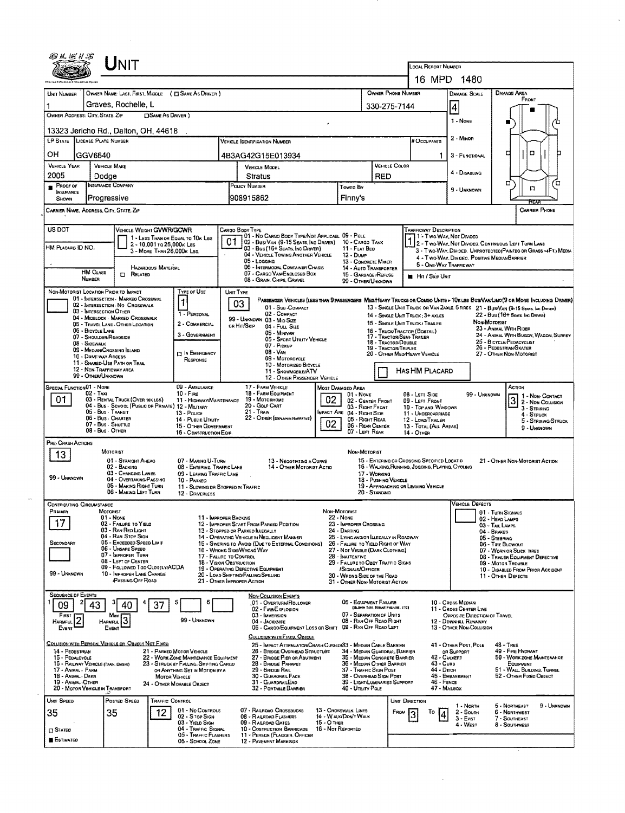|                                                                                                                                                           |                                                       |                                                                                         |                                                                          |                                                                                                                                        |                                                                                                                                                                                                                                                       |                                                                            |                                                              | LOCAL REPORT NUMBER                                       |                                                               |                                                                                                                         |                                                                                                                                                                                                                     |  |  |
|-----------------------------------------------------------------------------------------------------------------------------------------------------------|-------------------------------------------------------|-----------------------------------------------------------------------------------------|--------------------------------------------------------------------------|----------------------------------------------------------------------------------------------------------------------------------------|-------------------------------------------------------------------------------------------------------------------------------------------------------------------------------------------------------------------------------------------------------|----------------------------------------------------------------------------|--------------------------------------------------------------|-----------------------------------------------------------|---------------------------------------------------------------|-------------------------------------------------------------------------------------------------------------------------|---------------------------------------------------------------------------------------------------------------------------------------------------------------------------------------------------------------------|--|--|
|                                                                                                                                                           |                                                       |                                                                                         |                                                                          |                                                                                                                                        |                                                                                                                                                                                                                                                       |                                                                            |                                                              |                                                           | 16 MPD 1480                                                   |                                                                                                                         |                                                                                                                                                                                                                     |  |  |
| UNIT NUMBER                                                                                                                                               |                                                       | OWNER NAME: LAST, FIRST, MIDDLE ( C SAME AS DRIVER )                                    |                                                                          |                                                                                                                                        |                                                                                                                                                                                                                                                       |                                                                            | OWNER PHONE NUMBER                                           |                                                           | DAMAGE SCALE                                                  |                                                                                                                         | <b>DAMAGE AREA</b><br>FRONT                                                                                                                                                                                         |  |  |
| OWNER ADDRESS: CITY, STATE, ZIP                                                                                                                           |                                                       | Graves, Rochelle, L<br><b>CISAME AS DRIVER</b> )                                        |                                                                          |                                                                                                                                        | 330-275-7144                                                                                                                                                                                                                                          | $\vert 4 \vert$                                                            |                                                              |                                                           |                                                               |                                                                                                                         |                                                                                                                                                                                                                     |  |  |
|                                                                                                                                                           |                                                       |                                                                                         |                                                                          |                                                                                                                                        |                                                                                                                                                                                                                                                       |                                                                            |                                                              |                                                           | 1 - None                                                      |                                                                                                                         |                                                                                                                                                                                                                     |  |  |
| LP STATE LICENSE PLATE NUMBER                                                                                                                             |                                                       | 13323 Jericho Rd., Dalton, OH, 44618                                                    |                                                                          | <b>VEHICLE IDENTIFICATION NUMBER</b>                                                                                                   |                                                                                                                                                                                                                                                       |                                                                            |                                                              | # Occupants                                               | 2 - Minon                                                     |                                                                                                                         |                                                                                                                                                                                                                     |  |  |
| OН                                                                                                                                                        | GGV6640                                               |                                                                                         |                                                                          | 4B3AG42G15E013934                                                                                                                      |                                                                                                                                                                                                                                                       |                                                                            |                                                              |                                                           | 3 - FUNCTIONAL<br>1                                           |                                                                                                                         | о<br>о                                                                                                                                                                                                              |  |  |
| VEHICLE YEAR                                                                                                                                              | <b>VEHICLE MAKE</b>                                   |                                                                                         |                                                                          | <b>VEHICLE MODEL</b>                                                                                                                   | VEHICLE COLOR                                                                                                                                                                                                                                         |                                                                            |                                                              | 4 - Disabling                                             |                                                               |                                                                                                                         |                                                                                                                                                                                                                     |  |  |
| 2005<br>Dodae                                                                                                                                             |                                                       |                                                                                         | Stratus<br>POLICY NUMBER                                                 |                                                                                                                                        |                                                                                                                                                                                                                                                       | <b>RED</b>                                                                 |                                                              |                                                           |                                                               | σ<br>Έ                                                                                                                  |                                                                                                                                                                                                                     |  |  |
| <b>INSURANCE COMPANY</b><br><b>PROOF OF</b><br><b>INSURANCE</b><br>Progressive<br>SHOWN                                                                   |                                                       |                                                                                         | Toweo By<br>908915862<br>Finny's                                         |                                                                                                                                        |                                                                                                                                                                                                                                                       |                                                                            | 9 - UNKNOWN                                                  |                                                           | α                                                             |                                                                                                                         |                                                                                                                                                                                                                     |  |  |
| CARRIER NAME, ADDRESS, CITY, STATE, ZIP                                                                                                                   |                                                       |                                                                                         |                                                                          |                                                                                                                                        |                                                                                                                                                                                                                                                       |                                                                            |                                                              |                                                           |                                                               |                                                                                                                         | CARRIER PHONE                                                                                                                                                                                                       |  |  |
|                                                                                                                                                           |                                                       |                                                                                         |                                                                          |                                                                                                                                        |                                                                                                                                                                                                                                                       |                                                                            |                                                              |                                                           |                                                               |                                                                                                                         |                                                                                                                                                                                                                     |  |  |
| US DOT                                                                                                                                                    |                                                       | VEHICLE WEIGHT GWWR/GCWR                                                                | 1 - LESS THAN OR EQUAL TO 10K LBS                                        | CARGO BODY TYPE<br>01 - No CARGO BODY TYPE/NOT APPLICABL 09 - POLE                                                                     |                                                                                                                                                                                                                                                       |                                                                            |                                                              | <b>TRAFFICWAY DESCRIPTION</b>                             | 11 - Two Way, Nor Divideo                                     |                                                                                                                         |                                                                                                                                                                                                                     |  |  |
| HM PLACARO ID NO.                                                                                                                                         |                                                       | 2 - 10.001 to 26,000k Las<br>3 - MORE THAN 26,000K LBS.                                 |                                                                          | 01<br>02 - Bus/VAN (9-15 SEATS, INC DRIVER) 10 - CARGO TANK<br>03 - Bus (16+ Seats, Inc DRIVER)<br>04 - VEHICLE TOWING ANOTHER VEHICLE |                                                                                                                                                                                                                                                       | 11 - FLAT BED<br>$12 - D$ UMP                                              |                                                              |                                                           |                                                               | 2 - Two-Way, Not Divided, Continuous Left Turn Lane<br>3 - Two-Way, Divided, UNPROTECTED (PAINTED OR GRASS >4FT.) MEDIA |                                                                                                                                                                                                                     |  |  |
|                                                                                                                                                           |                                                       | HAZARDOUS MATERIAL                                                                      |                                                                          | 05 - Logging<br>06 - INTERMODAL CONTAINER CHASIS                                                                                       | 13 - CONCRETE MIXER<br>14 - AUTO TRANSPORTER                                                                                                                                                                                                          |                                                                            | 5 - ONE-WAY TRAFFICWAY                                       | 4 - Two-Way, Divideo, Positive Median Barrier             |                                                               |                                                                                                                         |                                                                                                                                                                                                                     |  |  |
|                                                                                                                                                           | <b>HM CLASS</b><br><b>NUMBER</b>                      | <b>CI RELATED</b>                                                                       |                                                                          | 07 - CARGO VAN/ENGLOSED BOX<br>08 - GRAN, CHIPS, GRAVEL                                                                                | 15 - GARBAGE /REFUSE<br>99 - OTHER/UNKNOWN                                                                                                                                                                                                            | Hit / Sxip Unit                                                            |                                                              |                                                           |                                                               |                                                                                                                         |                                                                                                                                                                                                                     |  |  |
| NON-MOTORIST LOCATION PRIOR TO IMPACT                                                                                                                     |                                                       |                                                                                         | TYPE OF USE                                                              | UNIT TYPE                                                                                                                              |                                                                                                                                                                                                                                                       |                                                                            |                                                              |                                                           |                                                               |                                                                                                                         |                                                                                                                                                                                                                     |  |  |
|                                                                                                                                                           |                                                       | 01 - INTERSECTION - MARKED CROSSWAL<br>02 - INTERSECTION - NO CROSSWALK                 | $\mathbf{1}$                                                             | 03<br>01 - Sub-COMPACT                                                                                                                 |                                                                                                                                                                                                                                                       |                                                                            |                                                              |                                                           |                                                               |                                                                                                                         | PASSENGER VEHICLES (LESS THAN 9 PASSENGERS MEDINEARY TRUCKS OR COMBO UNITS > 10x LES BUSIVAN/LIMO(9 OR MORE INCLUDING DRIVER)<br>13 - SINGLE UNIT TRUCK OR VAN ZAXLE, 6 TIRES 21 - BUS/VAN (9-15 SEATS, INC DRIVER) |  |  |
|                                                                                                                                                           | 03 - INTERSECTION OTHER                               | 04 - MIDBLOCK - MARKED CROSSWALK<br>05 - TRAVEL LANE - OTHER LOCATION                   | 1 - PERSONAL<br>2 - COMMERCIAL                                           | 02 - COMPACT<br>99 - UNKNOWN 03 - MID SIZE                                                                                             | 22 - Bus (16+ SEARS, INC DRIVER)<br>14 - SINGLE UNIT TRUCK: 3+ AXLES<br>Non-Moromst<br>15 - SINGLE UNIT TRUCK / TRAKER<br>23 - ANIMAL WITH RIDER<br>16 - TRUCK/TRACTOR (BOSTAIL)<br>24 - ANIMAL WITH BUGGY, WAGON, SURREY<br>17 - Tractor/Semi-Traler |                                                                            |                                                              |                                                           |                                                               |                                                                                                                         |                                                                                                                                                                                                                     |  |  |
|                                                                                                                                                           | 05 - BICYCLE LANE<br>07 - SHOULDER/ROADSIDE           |                                                                                         | 3 - GOVERNMENT                                                           | or Hit/Skip<br>04 - FULL SIZE<br>05 - MINIVAN                                                                                          |                                                                                                                                                                                                                                                       |                                                                            |                                                              |                                                           |                                                               |                                                                                                                         |                                                                                                                                                                                                                     |  |  |
| 08 - SIDEWALK<br>09 - MEDIAN/CROSSING SLAND                                                                                                               |                                                       |                                                                                         |                                                                          | 06 - SPORT UTILITY VEHICLE<br>07 - Pickup<br>08 - VAN                                                                                  | 18 - TRACTOR/DDUBLE<br><b>19 - TRACTOR/TRIPLES</b>                                                                                                                                                                                                    | 25 - BICYCLE/PEDACYCLIST<br>26 - Pedestrian/Skater                         |                                                              |                                                           |                                                               |                                                                                                                         |                                                                                                                                                                                                                     |  |  |
|                                                                                                                                                           | 10 - DRIVE WAY ACCESS<br>11. SHARED-USE PATH OR TRAIL |                                                                                         | <b>DIN EMERGENCY</b><br>RESPONSE                                         | 09 - MOTORCYCLE<br>10 - Motorizeo Bicycle                                                                                              |                                                                                                                                                                                                                                                       |                                                                            |                                                              | 20 - OTHER MEDIHEAVY VEHICLE                              |                                                               |                                                                                                                         | 27 - OTHER NON-MOTORIST                                                                                                                                                                                             |  |  |
|                                                                                                                                                           | 12 - NON-TRAFFICWAY AREA<br>99 - OTHER/UNKNOWN        |                                                                                         |                                                                          | 11 - SNOWMOBLE/ATV                                                                                                                     | 12 - OTHER PASSENGER VEHICLE                                                                                                                                                                                                                          |                                                                            |                                                              | <b>HAS HM PLACARD</b>                                     |                                                               |                                                                                                                         |                                                                                                                                                                                                                     |  |  |
| SPECIAL FUNCTION 01 - NONE                                                                                                                                | $02 - TAX1$                                           |                                                                                         | 09 - AMBULANCE<br>$10 -$ Fire                                            | 17 - FARM VEHICLE<br>18 - FARM EQUIPMENT                                                                                               |                                                                                                                                                                                                                                                       | Most Damaged Area                                                          |                                                              |                                                           |                                                               |                                                                                                                         | ACTION                                                                                                                                                                                                              |  |  |
| 01                                                                                                                                                        |                                                       |                                                                                         |                                                                          |                                                                                                                                        |                                                                                                                                                                                                                                                       |                                                                            |                                                              |                                                           |                                                               |                                                                                                                         |                                                                                                                                                                                                                     |  |  |
|                                                                                                                                                           |                                                       | 03 - RENTAL TRUCK (OVER 10K LBS)<br>04 - Bus - School (Public on Private) 12 - Military | 11 - HIGHWAY/MAINTENANCE                                                 | 19 - Мотовноме<br>20 - GOLF CART                                                                                                       | 02                                                                                                                                                                                                                                                    | $01 - None$<br>02 - CENTER FRONT<br>03 - Right Front                       |                                                              | 08 - LEFT SIDE<br>09 - LEFT FRONT<br>10 - TOP AND WINDOWS |                                                               | 99 - UNKNOWN                                                                                                            | $31$ - Non-Contact                                                                                                                                                                                                  |  |  |
|                                                                                                                                                           | 05 - Bus - Transit<br>06 - Bus - Charter              |                                                                                         | 13 - Pouce<br>14 - Pustic UTILITY                                        | 21 - Train<br>22 - OTHER (EXPLAN IN NARRATIVE)                                                                                         |                                                                                                                                                                                                                                                       | MPACT ARE 04 - RIGHT SIDE<br>05 - Right Rear                               |                                                              | 11 - UNDERCARRIAGE<br>12 - LOAD/TRAILER                   |                                                               |                                                                                                                         | 3 - STRIKING<br>$4 -$ Struck<br>5 - STRIKING/STRUCK                                                                                                                                                                 |  |  |
|                                                                                                                                                           | 07 - Bus - SHUTTLE<br>08 - Bus - OTHER                |                                                                                         | 15 - OTHER GOVERNMENT<br>16 - CONSTRUCTION EQIP.                         |                                                                                                                                        | 02                                                                                                                                                                                                                                                    | 06 - REAR CENTER<br>07 - LEFT REAR                                         |                                                              | 13 - TOTAL (ALL AREAS)<br>14 - OTHER                      |                                                               |                                                                                                                         | 9 - UNKNOWN                                                                                                                                                                                                         |  |  |
|                                                                                                                                                           |                                                       |                                                                                         |                                                                          |                                                                                                                                        |                                                                                                                                                                                                                                                       |                                                                            |                                                              |                                                           |                                                               |                                                                                                                         |                                                                                                                                                                                                                     |  |  |
| 13                                                                                                                                                        | MOTORIST                                              | 01 - STRAIGHT AHEAD                                                                     | 07 - MAKING U-TURN                                                       |                                                                                                                                        | 13 - NEGOTIATING A CURVE                                                                                                                                                                                                                              | NON-MOTORIST                                                               |                                                              | 15 - ENTERING OR CROSSING SPECIFIED LOCATIO               |                                                               |                                                                                                                         | 21 - OTHER NON-MOTORIST ACTION                                                                                                                                                                                      |  |  |
|                                                                                                                                                           |                                                       | 02 - BACKING<br>03 - CHANGING LANES                                                     | 08 - ENTERING TRAFFIC LANE<br>09 - LEAVING TRAFFIC LANE                  |                                                                                                                                        | 14 - OTHER MOTORIST ACTIO                                                                                                                                                                                                                             |                                                                            | 17 - Working                                                 | 16 - WALKING, RUNNING, JOGGING, PLAYING, CYCLING          |                                                               |                                                                                                                         |                                                                                                                                                                                                                     |  |  |
|                                                                                                                                                           |                                                       | 04 - OVERTAKING/PASSING<br>05 - MAKING RIGHT TURN                                       | 10 - PARKEO                                                              | 11 - SLOWING OR STOPPED IN TRAFFIC                                                                                                     |                                                                                                                                                                                                                                                       |                                                                            | 18 - Pushing Vericle                                         | 19 - APPROACHING OR LEAVING VEHICLE                       |                                                               |                                                                                                                         |                                                                                                                                                                                                                     |  |  |
|                                                                                                                                                           |                                                       | 06 - Making LEFT TURN                                                                   | 12 - DRIVERLESS                                                          |                                                                                                                                        |                                                                                                                                                                                                                                                       |                                                                            | 20 - Standing                                                |                                                           | <b>VEHICLE DEFECTS</b>                                        |                                                                                                                         |                                                                                                                                                                                                                     |  |  |
|                                                                                                                                                           | MOTORIST<br>01 - None                                 |                                                                                         |                                                                          | 11 - IMPROPER BACKING                                                                                                                  |                                                                                                                                                                                                                                                       | NON-MOTORIST<br><b>22 - NONE</b>                                           |                                                              |                                                           |                                                               | 02 - HEAD LAMPS                                                                                                         | 01 - TURN SIGNALS                                                                                                                                                                                                   |  |  |
| 17                                                                                                                                                        |                                                       | 02 - FAILURE TO YIELD<br>03 - RAN RED LIGHT                                             |                                                                          | 12 - IMPROPER START FROM PARKED POSITION<br>13 - STOPPED OR PARKED ILLEGALLY                                                           |                                                                                                                                                                                                                                                       | 23 - IMPROPER CROSSING<br>24 - DARTING                                     |                                                              |                                                           |                                                               | 03 - Tail LAMPS<br>04 - BRAKES                                                                                          |                                                                                                                                                                                                                     |  |  |
|                                                                                                                                                           |                                                       | 04 - RAN STOP SIGN<br>05 - Exceeped Speep LIMIT                                         |                                                                          | 14 - OPERATING VEHICLE IN NEGLIGENT MANNER<br>15 - Swering to Avoid (Due to External Conditions)                                       |                                                                                                                                                                                                                                                       | 25 - LYING AND/OR LLEGALLY IN ROADWAY<br>26 - FALURE TO YIELD RIGHT OF WAY |                                                              |                                                           |                                                               | 05 - STEERING                                                                                                           | 06 - TIRE BLOWOUT                                                                                                                                                                                                   |  |  |
|                                                                                                                                                           |                                                       | 06 - UNSAFE SPEED<br>07 - IMPROPER TURN                                                 |                                                                          | 16 - Wrong Side/Wrong Way<br>17 - FALURE TO CONTROL                                                                                    |                                                                                                                                                                                                                                                       | 27 - NOT VISIBLE (DARK CLOTHING)<br>28 - INATTENTIVE                       |                                                              |                                                           |                                                               |                                                                                                                         | 07 - WORN OR SLICK TIRES<br>08 - TRAILER EQUIPMENT DEFECTIVE                                                                                                                                                        |  |  |
|                                                                                                                                                           |                                                       | 08 - LEFT OF CENTER<br>09 - FOLLOWED TOO CLOSELY/ACDA<br>10 - IMPROPER LANE CHANGE      |                                                                          | 18 - VISION OBSTRUCTION<br>19 - OPERATING DEFECTIVE EQUIPMENT                                                                          |                                                                                                                                                                                                                                                       | 29 - FAILURE TO OBEY TRAFFIC SIGNS<br>/SIGNALS/OFFICER                     |                                                              |                                                           |                                                               |                                                                                                                         | 09 - MOTOR TROUBLE                                                                                                                                                                                                  |  |  |
|                                                                                                                                                           |                                                       | <b><i>iPASSING/OFF ROAD</i></b>                                                         |                                                                          | 20 - LOAD SHIFTING/FALLING/SPILLING<br>21 - OTHER IMPROPER ACTION                                                                      |                                                                                                                                                                                                                                                       | 30 - WRONG SIDE OF THE RDAD<br>31 - OTHER NON-MOTORIST ACTION              |                                                              |                                                           |                                                               |                                                                                                                         | 11 OTHER DEFECTS                                                                                                                                                                                                    |  |  |
|                                                                                                                                                           |                                                       |                                                                                         | 6                                                                        | <b>NON-COLLISION EVENTS</b><br><b>01 - OVERTURN/ROLLOVER</b>                                                                           |                                                                                                                                                                                                                                                       | 06 - EQUIPMENT FAILURE                                                     |                                                              |                                                           | 10 - Cross Median                                             |                                                                                                                         | 10 - DISABLED FROM PRIOR ACCIDENT                                                                                                                                                                                   |  |  |
| 09<br>FIRST                                                                                                                                               | 43<br>Mast                                            | 37                                                                                      |                                                                          | 02 - FIRE/EXPLOSION<br>03 - IMMERSION                                                                                                  |                                                                                                                                                                                                                                                       |                                                                            | (BLOWN TIRE, BRAKE FAILURE, ETC)<br>07 - SEPARATION OF UNITS |                                                           | <b>11 - CROSS CENTER LINE</b><br>OPPOSITE DIRECTION OF TRAVEL |                                                                                                                         |                                                                                                                                                                                                                     |  |  |
| 2<br><b>HARMFUL</b><br>EVENT                                                                                                                              | HARMFUL <sup>3</sup><br>EVENT                         |                                                                                         | 99 - UNKNOWN                                                             | 04 - JACKKNIFE                                                                                                                         | 05 - CARGO/EQUIPMENT LOSS OR SHIFT 09 - RAN OFF ROAD LEFT                                                                                                                                                                                             |                                                                            | 08 - RAN OFF ROAD RIGHT                                      |                                                           | 12 - DOWNHELL RUNAWAY<br>13 - OTHER NON-COLLISION             |                                                                                                                         |                                                                                                                                                                                                                     |  |  |
|                                                                                                                                                           |                                                       | COLLISION WITH PERSON, VEHICLE OR OBJECT NOT FIXED                                      |                                                                          | <b>COLLISION WITH FIXED, OBJECT</b>                                                                                                    | 25 - IMPACT ATTENUATOR/CRASH CUSHION33 - MEDIAN CABLE BARRIER                                                                                                                                                                                         |                                                                            |                                                              |                                                           | 41 - OTHER POST, POLE                                         |                                                                                                                         | $48 -$ TREE                                                                                                                                                                                                         |  |  |
| 14 - PEOESTRIAN<br>15 - PEDALCYCLE                                                                                                                        |                                                       |                                                                                         | 21 - PARKED MOTOR VEHICLE<br>22 - WORK ZONE MAINTENANCE EQUIPMENT        | 26 - BRIDGE OVERHEAD STRUCTURE<br>27 - BRIOGE PIER OR ABUTMENT                                                                         |                                                                                                                                                                                                                                                       |                                                                            | 34 MEDIAN GUARDRAIL BARRIER<br>35 - MEDIAN CONCRETE BARRIER  |                                                           | OR SUPPORT<br>42 - CULVERT                                    |                                                                                                                         | 49 - FIRE HYDRANT<br>50 - WORK ZONE MAINTENANCE                                                                                                                                                                     |  |  |
| 16 - RAILWAY VEHICLE (TAAIN, ENGINE)<br>17 - ANIMAL - FARM                                                                                                |                                                       |                                                                                         | 23 - STRUCK BY FALLING, SHIFTING CARGO<br>OR ANYTHING SET IN MOTION BY A | 28 - BRIDGE PARAPET<br>29 - BROGE RAIL                                                                                                 |                                                                                                                                                                                                                                                       | 37 - TRAFFIC SIGN POST                                                     | 36 - Median Other Barrier                                    |                                                           | 43 - Cuns<br>44 - Опсн                                        |                                                                                                                         | EQUIPMENT<br>51 - WALL, BUILDING, TUNNEL                                                                                                                                                                            |  |  |
| 18 - Ansaal - Deer<br>19 - ANIMAL - OTHER                                                                                                                 |                                                       |                                                                                         | <b>MOTOR VEHICLE</b><br>24 - OTHER MOVABLE OBJECT                        | 30 - GUARDRAIL FACE<br>31 - GUARDRAILEND                                                                                               |                                                                                                                                                                                                                                                       |                                                                            | 38 - Overhead Sign Post<br>39 - LIGHT/LUMINARIES SUPPORT     |                                                           | 45 - EMBANKMENT<br>46 - FENCE                                 |                                                                                                                         | 52 - Отнен Ріхео Овлест                                                                                                                                                                                             |  |  |
| 20 - MOTOR VEHICLE IN TRANSPORT                                                                                                                           |                                                       |                                                                                         |                                                                          | 32 - PORTABLE BARRIER                                                                                                                  |                                                                                                                                                                                                                                                       | 40 - Umury Pour                                                            |                                                              |                                                           | 47 - MAILBOX                                                  |                                                                                                                         |                                                                                                                                                                                                                     |  |  |
| PRE- CRASH ACTIONS<br>99 - UNKNOWN<br><b>CONTRIBUTING CIRCUMSTANCE</b><br>PRIMARY<br>SECONDARY<br>99 - UNKNOWN<br><b>SEQUENCE DF EVENTS</b><br>UNIT SPEED |                                                       | Posted Speed                                                                            | TRAFFIC CONTROL<br>01 - No CONTROLS                                      | 07 - RAILROAD CROSSBUCKS                                                                                                               |                                                                                                                                                                                                                                                       | 13 - CROSSWALK LINES                                                       | FROM                                                         | Unit Direction<br>То                                      | 1 - North<br>2 - South                                        |                                                                                                                         | 5 - NORTHEAST<br>9 - UNKNOWN<br>6 - NORTHWEST                                                                                                                                                                       |  |  |
| 35<br><b>CI STATED</b>                                                                                                                                    | 35                                                    | 12                                                                                      | 02 - S TOP SIGN<br>03 - YIELD SIGN<br>04 - TRAFFIC SIGNAL                | 08 - RAILROAD FLASHERS<br>09 - RAILROAD GATES<br>10 - COSTRUCTION BARRICADE 16 - NOT REPORTED                                          | <b>15 - O THER</b>                                                                                                                                                                                                                                    | 14 - WALK/DON'T WALK                                                       |                                                              |                                                           | $3 - E$ Ast<br>4 - West                                       |                                                                                                                         | 7 - SOUTHEAST<br>8 - Southwest                                                                                                                                                                                      |  |  |

 $\sim 10^{11}$ 

 $\frac{1}{2}$ 

 $\hat{\mathcal{A}}$